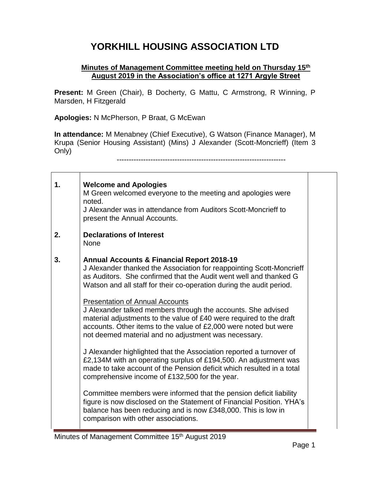## **YORKHILL HOUSING ASSOCIATION LTD**

## **Minutes of Management Committee meeting held on Thursday 15th August 2019 in the Association's office at 1271 Argyle Street**

**Present:** M Green (Chair), B Docherty, G Mattu, C Armstrong, R Winning, P Marsden, H Fitzgerald

**Apologies:** N McPherson, P Braat, G McEwan

 $\Gamma$ 

┯

**In attendance:** M Menabney (Chief Executive), G Watson (Finance Manager), M Krupa (Senior Housing Assistant) (Mins) J Alexander (Scott-Moncrieff) (Item 3 Only)

| 1. | <b>Welcome and Apologies</b><br>M Green welcomed everyone to the meeting and apologies were<br>noted.<br>J Alexander was in attendance from Auditors Scott-Moncrieff to<br>present the Annual Accounts.                                                                                                                                                                                                                                                                                                                                                                                                                                                                                                                                                                                                                                                                                                                                                                                                                                                                                                              |  |
|----|----------------------------------------------------------------------------------------------------------------------------------------------------------------------------------------------------------------------------------------------------------------------------------------------------------------------------------------------------------------------------------------------------------------------------------------------------------------------------------------------------------------------------------------------------------------------------------------------------------------------------------------------------------------------------------------------------------------------------------------------------------------------------------------------------------------------------------------------------------------------------------------------------------------------------------------------------------------------------------------------------------------------------------------------------------------------------------------------------------------------|--|
| 2. | <b>Declarations of Interest</b><br><b>None</b>                                                                                                                                                                                                                                                                                                                                                                                                                                                                                                                                                                                                                                                                                                                                                                                                                                                                                                                                                                                                                                                                       |  |
| 3. | <b>Annual Accounts &amp; Financial Report 2018-19</b><br>J Alexander thanked the Association for reappointing Scott-Moncrieff<br>as Auditors. She confirmed that the Audit went well and thanked G<br>Watson and all staff for their co-operation during the audit period.<br><b>Presentation of Annual Accounts</b><br>J Alexander talked members through the accounts. She advised<br>material adjustments to the value of £40 were required to the draft<br>accounts. Other items to the value of £2,000 were noted but were<br>not deemed material and no adjustment was necessary.<br>J Alexander highlighted that the Association reported a turnover of<br>£2,134M with an operating surplus of £194,500. An adjustment was<br>made to take account of the Pension deficit which resulted in a total<br>comprehensive income of £132,500 for the year.<br>Committee members were informed that the pension deficit liability<br>figure is now disclosed on the Statement of Financial Position. YHA's<br>balance has been reducing and is now £348,000. This is low in<br>comparison with other associations. |  |

Τ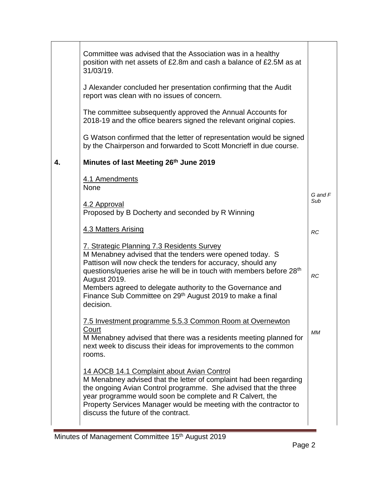|    | Committee was advised that the Association was in a healthy<br>position with net assets of £2.8m and cash a balance of £2.5M as at<br>31/03/19.                                                                                                                                                                                                                                                                           |                |
|----|---------------------------------------------------------------------------------------------------------------------------------------------------------------------------------------------------------------------------------------------------------------------------------------------------------------------------------------------------------------------------------------------------------------------------|----------------|
|    | J Alexander concluded her presentation confirming that the Audit<br>report was clean with no issues of concern.                                                                                                                                                                                                                                                                                                           |                |
|    | The committee subsequently approved the Annual Accounts for<br>2018-19 and the office bearers signed the relevant original copies.                                                                                                                                                                                                                                                                                        |                |
|    | G Watson confirmed that the letter of representation would be signed<br>by the Chairperson and forwarded to Scott Moncrieff in due course.                                                                                                                                                                                                                                                                                |                |
| 4. | Minutes of last Meeting 26th June 2019                                                                                                                                                                                                                                                                                                                                                                                    |                |
|    | 4.1 Amendments<br><b>None</b><br>4.2 Approval<br>Proposed by B Docherty and seconded by R Winning                                                                                                                                                                                                                                                                                                                         | G and F<br>Sub |
|    | 4.3 Matters Arising                                                                                                                                                                                                                                                                                                                                                                                                       | RC             |
|    | 7. Strategic Planning 7.3 Residents Survey<br>M Menabney advised that the tenders were opened today. S<br>Pattison will now check the tenders for accuracy, should any<br>questions/queries arise he will be in touch with members before 28 <sup>th</sup><br><b>August 2019.</b><br>Members agreed to delegate authority to the Governance and<br>Finance Sub Committee on 29th August 2019 to make a final<br>decision. | <b>RC</b>      |
|    | 7.5 Investment programme 5.5.3 Common Room at Overnewton<br>Court<br>M Menabney advised that there was a residents meeting planned for<br>next week to discuss their ideas for improvements to the common<br>rooms.                                                                                                                                                                                                       | MМ             |
|    | 14 AOCB 14.1 Complaint about Avian Control<br>M Menabney advised that the letter of complaint had been regarding<br>the ongoing Avian Control programme. She advised that the three<br>year programme would soon be complete and R Calvert, the<br>Property Services Manager would be meeting with the contractor to<br>discuss the future of the contract.                                                               |                |

÷.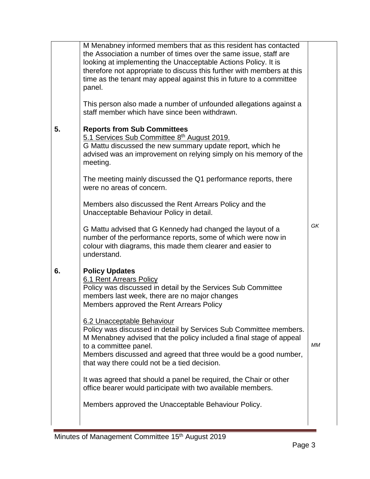|    | M Menabney informed members that as this resident has contacted<br>the Association a number of times over the same issue, staff are<br>looking at implementing the Unacceptable Actions Policy. It is<br>therefore not appropriate to discuss this further with members at this<br>time as the tenant may appeal against this in future to a committee<br>panel.<br>This person also made a number of unfounded allegations against a |    |
|----|---------------------------------------------------------------------------------------------------------------------------------------------------------------------------------------------------------------------------------------------------------------------------------------------------------------------------------------------------------------------------------------------------------------------------------------|----|
|    | staff member which have since been withdrawn.                                                                                                                                                                                                                                                                                                                                                                                         |    |
| 5. | <b>Reports from Sub Committees</b><br>5.1 Services Sub Committee 8th August 2019.<br>G Mattu discussed the new summary update report, which he<br>advised was an improvement on relying simply on his memory of the<br>meeting.                                                                                                                                                                                                       |    |
|    | The meeting mainly discussed the Q1 performance reports, there<br>were no areas of concern.                                                                                                                                                                                                                                                                                                                                           |    |
|    | Members also discussed the Rent Arrears Policy and the<br>Unacceptable Behaviour Policy in detail.                                                                                                                                                                                                                                                                                                                                    |    |
|    | G Mattu advised that G Kennedy had changed the layout of a<br>number of the performance reports, some of which were now in<br>colour with diagrams, this made them clearer and easier to<br>understand.                                                                                                                                                                                                                               | GK |
| 6. | <b>Policy Updates</b><br>6.1 Rent Arrears Policy<br>Policy was discussed in detail by the Services Sub Committee<br>members last week, there are no major changes<br>Members approved the Rent Arrears Policy<br>6.2 Unacceptable Behaviour                                                                                                                                                                                           |    |
|    | Policy was discussed in detail by Services Sub Committee members.<br>M Menabney advised that the policy included a final stage of appeal<br>to a committee panel.<br>Members discussed and agreed that three would be a good number,<br>that way there could not be a tied decision.                                                                                                                                                  | МM |
|    | It was agreed that should a panel be required, the Chair or other<br>office bearer would participate with two available members.                                                                                                                                                                                                                                                                                                      |    |
|    | Members approved the Unacceptable Behaviour Policy.                                                                                                                                                                                                                                                                                                                                                                                   |    |
|    |                                                                                                                                                                                                                                                                                                                                                                                                                                       |    |

÷.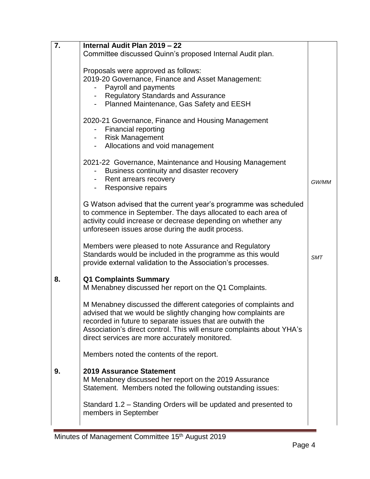| 7. | Internal Audit Plan 2019 - 22                                                                                                                                                                                                                                                                                             |       |
|----|---------------------------------------------------------------------------------------------------------------------------------------------------------------------------------------------------------------------------------------------------------------------------------------------------------------------------|-------|
|    | Committee discussed Quinn's proposed Internal Audit plan.                                                                                                                                                                                                                                                                 |       |
|    | Proposals were approved as follows:<br>2019-20 Governance, Finance and Asset Management:<br>Payroll and payments<br>- Regulatory Standards and Assurance<br>- Planned Maintenance, Gas Safety and EESH                                                                                                                    |       |
|    | 2020-21 Governance, Finance and Housing Management<br><b>Financial reporting</b><br>- Risk Management<br>Allocations and void management                                                                                                                                                                                  |       |
|    | 2021-22 Governance, Maintenance and Housing Management<br>Business continuity and disaster recovery<br>- Rent arrears recovery<br>- Responsive repairs                                                                                                                                                                    | GW/MM |
|    | G Watson advised that the current year's programme was scheduled<br>to commence in September. The days allocated to each area of<br>activity could increase or decrease depending on whether any<br>unforeseen issues arose during the audit process.                                                                     |       |
|    | Members were pleased to note Assurance and Regulatory<br>Standards would be included in the programme as this would<br>provide external validation to the Association's processes.                                                                                                                                        | SMT   |
| 8. | <b>Q1 Complaints Summary</b><br>M Menabney discussed her report on the Q1 Complaints.                                                                                                                                                                                                                                     |       |
|    | M Menabney discussed the different categories of complaints and<br>advised that we would be slightly changing how complaints are<br>recorded in future to separate issues that are outwith the<br>Association's direct control. This will ensure complaints about YHA's<br>direct services are more accurately monitored. |       |
|    | Members noted the contents of the report.                                                                                                                                                                                                                                                                                 |       |
| 9. | 2019 Assurance Statement<br>M Menabney discussed her report on the 2019 Assurance<br>Statement. Members noted the following outstanding issues:                                                                                                                                                                           |       |
|    | Standard 1.2 – Standing Orders will be updated and presented to<br>members in September                                                                                                                                                                                                                                   |       |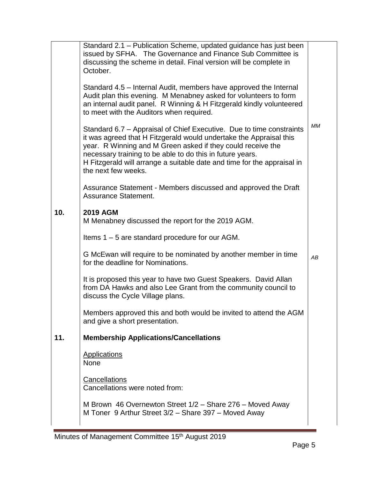|     | Standard 2.1 - Publication Scheme, updated guidance has just been<br>issued by SFHA. The Governance and Finance Sub Committee is<br>discussing the scheme in detail. Final version will be complete in<br>October.                                                                                                                                                       |           |
|-----|--------------------------------------------------------------------------------------------------------------------------------------------------------------------------------------------------------------------------------------------------------------------------------------------------------------------------------------------------------------------------|-----------|
|     | Standard 4.5 – Internal Audit, members have approved the Internal<br>Audit plan this evening. M Menabney asked for volunteers to form<br>an internal audit panel. R Winning & H Fitzgerald kindly volunteered<br>to meet with the Auditors when required.                                                                                                                |           |
|     | Standard 6.7 – Appraisal of Chief Executive. Due to time constraints<br>it was agreed that H Fitzgerald would undertake the Appraisal this<br>year. R Winning and M Green asked if they could receive the<br>necessary training to be able to do this in future years.<br>H Fitzgerald will arrange a suitable date and time for the appraisal in<br>the next few weeks. | <b>MM</b> |
|     | Assurance Statement - Members discussed and approved the Draft<br><b>Assurance Statement.</b>                                                                                                                                                                                                                                                                            |           |
| 10. | <b>2019 AGM</b><br>M Menabney discussed the report for the 2019 AGM.                                                                                                                                                                                                                                                                                                     |           |
|     | Items 1 – 5 are standard procedure for our AGM.                                                                                                                                                                                                                                                                                                                          |           |
|     | G McEwan will require to be nominated by another member in time<br>for the deadline for Nominations.                                                                                                                                                                                                                                                                     | AB        |
|     | It is proposed this year to have two Guest Speakers. David Allan<br>from DA Hawks and also Lee Grant from the community council to<br>discuss the Cycle Village plans.                                                                                                                                                                                                   |           |
|     | Members approved this and both would be invited to attend the AGM<br>and give a short presentation.                                                                                                                                                                                                                                                                      |           |
| 11. | <b>Membership Applications/Cancellations</b>                                                                                                                                                                                                                                                                                                                             |           |
|     | <b>Applications</b><br><b>None</b>                                                                                                                                                                                                                                                                                                                                       |           |
|     | Cancellations<br>Cancellations were noted from:                                                                                                                                                                                                                                                                                                                          |           |
|     | M Brown 46 Overnewton Street 1/2 - Share 276 - Moved Away<br>M Toner 9 Arthur Street 3/2 - Share 397 - Moved Away                                                                                                                                                                                                                                                        |           |

E,